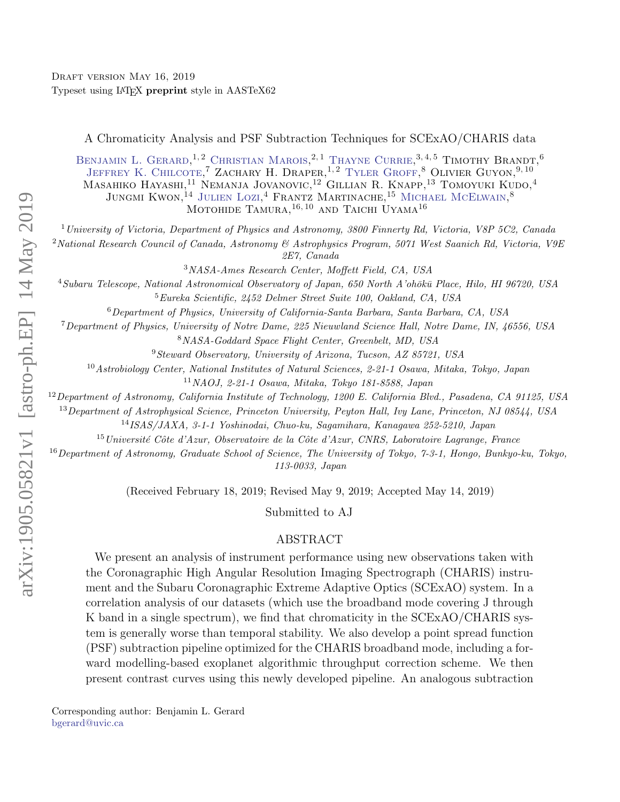# A Chromaticity Analysis and PSF Subtraction Techniques for SCExAO/CHARIS data

BENJAMIN L. GERARD,<sup>1,2</sup> CHRISTIAN MAROIS,<sup>2,1</sup> THAYNE CURRIE,<sup>3,4,5</sup> TIMOTHY BRANDT,<sup>6</sup> JEFFREY K. CHILCOTE<sup>7</sup> ZACHARY H. DRAPER.<sup>1,2</sup> TYLER GROFF.<sup>8</sup> OLIVIER GUYON.<sup>9,10</sup> Masahiko Hayashi, <sup>11</sup> Nemanja Jovanovic, <sup>12</sup> Gillian R. Knapp, <sup>13</sup> Tomoyuki Kudo, <sup>4</sup> JUNGMI KWON.<sup>14</sup> JULIEN LOZI.<sup>4</sup> FRANTZ MARTINACHE, <sup>15</sup> MICHAEL MCELWAIN.<sup>8</sup> MOTOHIDE TAMURA,<sup>16, 10</sup> AND TAICHI UYAMA<sup>16</sup>

<sup>1</sup> University of Victoria, Department of Physics and Astronomy, 3800 Finnerty Rd, Victoria, V8P 5C2, Canada

<sup>2</sup>National Research Council of Canada, Astronomy & Astrophysics Program, 5071 West Saanich Rd, Victoria, V9E 2E7, Canada

<sup>3</sup>NASA-Ames Research Center, Moffett Field, CA, USA

<sup>4</sup>Subaru Telescope, National Astronomical Observatory of Japan, 650 North A'ohōkū Place, Hilo, HI 96720, USA <sup>5</sup>Eureka Scientific, 2452 Delmer Street Suite 100, Oakland, CA, USA

<sup>6</sup>Department of Physics, University of California-Santa Barbara, Santa Barbara, CA, USA

<sup>7</sup>Department of Physics, University of Notre Dame, 225 Nieuwland Science Hall, Notre Dame, IN, 46556, USA

<sup>8</sup>NASA-Goddard Space Flight Center, Greenbelt, MD, USA

<sup>9</sup>Steward Observatory, University of Arizona, Tucson, AZ 85721, USA

<sup>10</sup>Astrobiology Center, National Institutes of Natural Sciences, 2-21-1 Osawa, Mitaka, Tokyo, Japan

<sup>11</sup>NAOJ, 2-21-1 Osawa, Mitaka, Tokyo 181-8588, Japan

 $^{12}$ Department of Astronomy, California Institute of Technology, 1200 E. California Blvd., Pasadena, CA 91125, USA

<sup>13</sup>Department of Astrophysical Science, Princeton University, Peyton Hall, Ivy Lane, Princeton, NJ 08544, USA

<sup>14</sup>ISAS/JAXA, 3-1-1 Yoshinodai, Chuo-ku, Sagamihara, Kanagawa 252-5210, Japan

 $^{15}$ Université Côte d'Azur, Observatoire de la Côte d'Azur, CNRS, Laboratoire Lagrange, France

 $16$ Department of Astronomy, Graduate School of Science, The University of Tokyo, 7-3-1, Hongo, Bunkyo-ku, Tokyo, 113-0033, Japan

(Received February 18, 2019; Revised May 9, 2019; Accepted May 14, 2019)

Submitted to AJ

## ABSTRACT

We present an analysis of instrument performance using new observations taken with the Coronagraphic High Angular Resolution Imaging Spectrograph (CHARIS) instrument and the Subaru Coronagraphic Extreme Adaptive Optics (SCExAO) system. In a correlation analysis of our datasets (which use the broadband mode covering J through K band in a single spectrum), we find that chromaticity in the SCExAO/CHARIS system is generally worse than temporal stability. We also develop a point spread function (PSF) subtraction pipeline optimized for the CHARIS broadband mode, including a forward modelling-based exoplanet algorithmic throughput correction scheme. We then present contrast curves using this newly developed pipeline. An analogous subtraction

<span id="page-0-1"></span><span id="page-0-0"></span>Corresponding author: Benjamin L. Gerard [bgerard@uvic.ca](mailto: bgerard@uvic.ca)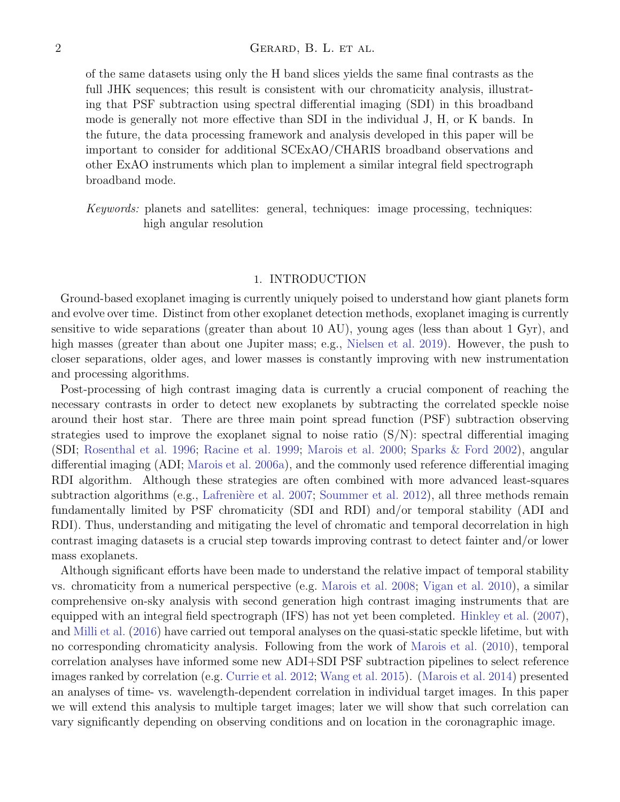## 2 GERARD, B. L. ET AL.

of the same datasets using only the H band slices yields the same final contrasts as the full JHK sequences; this result is consistent with our chromaticity analysis, illustrating that PSF subtraction using spectral differential imaging (SDI) in this broadband mode is generally not more effective than SDI in the individual J, H, or K bands. In the future, the data processing framework and analysis developed in this paper will be important to consider for additional SCExAO/CHARIS broadband observations and other ExAO instruments which plan to implement a similar integral field spectrograph broadband mode.

Keywords: planets and satellites: general, techniques: image processing, techniques: high angular resolution

#### 1. INTRODUCTION

<span id="page-1-0"></span>Ground-based exoplanet imaging is currently uniquely poised to understand how giant planets form and evolve over time. Distinct from other exoplanet detection methods, exoplanet imaging is currently sensitive to wide separations (greater than about 10 AU), young ages (less than about 1 Gyr), and high masses (greater than about one Jupiter mass; e.g., [Nielsen et al.](#page-19-0) [2019\)](#page-19-0). However, the push to closer separations, older ages, and lower masses is constantly improving with new instrumentation and processing algorithms.

Post-processing of high contrast imaging data is currently a crucial component of reaching the necessary contrasts in order to detect new exoplanets by subtracting the correlated speckle noise around their host star. There are three main point spread function (PSF) subtraction observing strategies used to improve the exoplanet signal to noise ratio  $(S/N)$ : spectral differential imaging (SDI; [Rosenthal et al.](#page-19-1) [1996;](#page-19-1) [Racine et al.](#page-19-2) [1999;](#page-19-2) [Marois et al.](#page-19-3) [2000;](#page-19-3) [Sparks & Ford](#page-19-4) [2002\)](#page-19-4), angular differential imaging (ADI; [Marois et al.](#page-19-5) [2006a\)](#page-19-5), and the commonly used reference differential imaging RDI algorithm. Although these strategies are often combined with more advanced least-squares subtraction algorithms (e.g., Lafrenière et al. [2007;](#page-19-6) [Soummer et al.](#page-19-7) [2012\)](#page-19-7), all three methods remain fundamentally limited by PSF chromaticity (SDI and RDI) and/or temporal stability (ADI and RDI). Thus, understanding and mitigating the level of chromatic and temporal decorrelation in high contrast imaging datasets is a crucial step towards improving contrast to detect fainter and/or lower mass exoplanets.

Although significant efforts have been made to understand the relative impact of temporal stability vs. chromaticity from a numerical perspective (e.g. [Marois et al.](#page-19-8) [2008;](#page-19-8) [Vigan et al.](#page-19-9) [2010\)](#page-19-9), a similar comprehensive on-sky analysis with second generation high contrast imaging instruments that are equipped with an integral field spectrograph (IFS) has not yet been completed. [Hinkley et al.](#page-18-0) [\(2007\)](#page-18-0), and [Milli et al.](#page-19-10) [\(2016\)](#page-19-10) have carried out temporal analyses on the quasi-static speckle lifetime, but with no corresponding chromaticity analysis. Following from the work of [Marois et al.](#page-19-11) [\(2010\)](#page-19-11), temporal correlation analyses have informed some new ADI+SDI PSF subtraction pipelines to select reference images ranked by correlation (e.g. [Currie et al.](#page-18-1) [2012;](#page-18-1) [Wang et al.](#page-19-12) [2015\)](#page-19-12). [\(Marois et al.](#page-19-13) [2014\)](#page-19-13) presented an analyses of time- vs. wavelength-dependent correlation in individual target images. In this paper we will extend this analysis to multiple target images; later we will show that such correlation can vary significantly depending on observing conditions and on location in the coronagraphic image.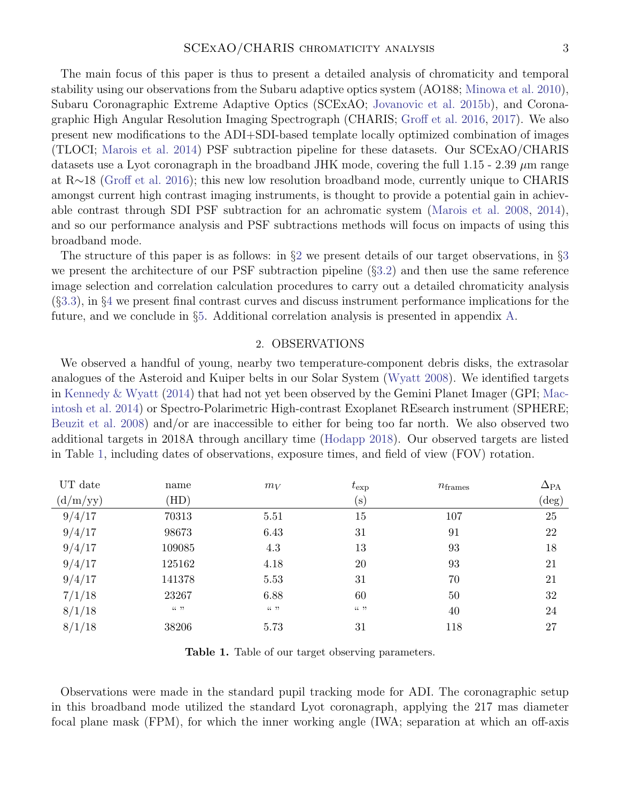The main focus of this paper is thus to present a detailed analysis of chromaticity and temporal stability using our observations from the Subaru adaptive optics system (AO188; [Minowa et al.](#page-19-14) [2010\)](#page-19-14), Subaru Coronagraphic Extreme Adaptive Optics (SCExAO; [Jovanovic et al.](#page-18-2) [2015b\)](#page-18-2), and Coronagraphic High Angular Resolution Imaging Spectrograph (CHARIS; [Groff et al.](#page-18-3) [2016,](#page-18-3) [2017\)](#page-18-4). We also present new modifications to the ADI+SDI-based template locally optimized combination of images (TLOCI; [Marois et al.](#page-19-13) [2014\)](#page-19-13) PSF subtraction pipeline for these datasets. Our SCExAO/CHARIS datasets use a Lyot coronagraph in the broadband JHK mode, covering the full 1.15 - 2.39  $\mu$ m range at R∼18 [\(Groff et al.](#page-18-3) [2016\)](#page-18-3); this new low resolution broadband mode, currently unique to CHARIS amongst current high contrast imaging instruments, is thought to provide a potential gain in achievable contrast through SDI PSF subtraction for an achromatic system [\(Marois et al.](#page-19-8) [2008,](#page-19-8) [2014\)](#page-19-13), and so our performance analysis and PSF subtractions methods will focus on impacts of using this broadband mode.

The structure of this paper is as follows: in  $\S$ [2](#page-2-0) we present details of our target observations, in  $\S$ [3](#page-3-0) we present the architecture of our PSF subtraction pipeline (§[3.2\)](#page-3-1) and then use the same reference image selection and correlation calculation procedures to carry out a detailed chromaticity analysis (§[3.3\)](#page-8-0), in §[4](#page-12-0) we present final contrast curves and discuss instrument performance implications for the future, and we conclude in §[5.](#page-15-0) Additional correlation analysis is presented in appendix [A.](#page-16-0)

#### 2. OBSERVATIONS

<span id="page-2-0"></span>We observed a handful of young, nearby two temperature-component debris disks, the extrasolar analogues of the Asteroid and Kuiper belts in our Solar System [\(Wyatt](#page-19-15) [2008\)](#page-19-15). We identified targets in [Kennedy & Wyatt](#page-19-16) [\(2014\)](#page-19-16) that had not yet been observed by the Gemini Planet Imager (GPI; [Mac](#page-19-17)[intosh et al.](#page-19-17) [2014\)](#page-19-17) or Spectro-Polarimetric High-contrast Exoplanet REsearch instrument (SPHERE; [Beuzit et al.](#page-18-5) [2008\)](#page-18-5) and/or are inaccessible to either for being too far north. We also observed two additional targets in 2018A through ancillary time [\(Hodapp](#page-18-6) [2018\)](#page-18-6). Our observed targets are listed in Table [1,](#page-2-1) including dates of observations, exposure times, and field of view (FOV) rotation.

| UT date  | name   | $m_V$  | $t_{\rm exp}$ | $n_{\text{frames}}$ | $\Delta_{\text{PA}}$ |
|----------|--------|--------|---------------|---------------------|----------------------|
| (d/m/yy) | HD)    |        | $(\rm s)$     |                     | $(\deg)$             |
| 9/4/17   | 70313  | 5.51   | 15            | 107                 | 25                   |
| 9/4/17   | 98673  | 6.43   | 31            | 91                  | 22                   |
| 9/4/17   | 109085 | 4.3    | 13            | 93                  | 18                   |
| 9/4/17   | 125162 | 4.18   | 20            | 93                  | 21                   |
| 9/4/17   | 141378 | 5.53   | 31            | 70                  | 21                   |
| 7/1/18   | 23267  | 6.88   | 60            | 50                  | 32                   |
| 8/1/18   | (1, 9) | (1, 7) | (1, 9)        | 40                  | 24                   |
| 8/1/18   | 38206  | 5.73   | 31            | 118                 | 27                   |

<span id="page-2-1"></span>Table 1. Table of our target observing parameters.

Observations were made in the standard pupil tracking mode for ADI. The coronagraphic setup in this broadband mode utilized the standard Lyot coronagraph, applying the 217 mas diameter focal plane mask (FPM), for which the inner working angle (IWA; separation at which an off-axis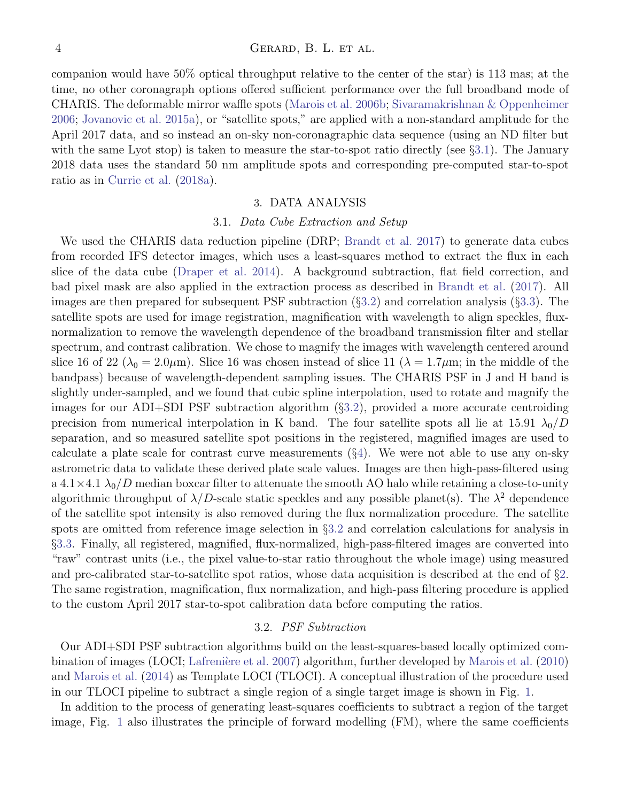companion would have 50% optical throughput relative to the center of the star) is 113 mas; at the time, no other coronagraph options offered sufficient performance over the full broadband mode of CHARIS. The deformable mirror waffle spots [\(Marois et al.](#page-19-18) [2006b;](#page-19-18) [Sivaramakrishnan & Oppenheimer](#page-19-19) [2006;](#page-19-19) [Jovanovic et al.](#page-18-7) [2015a\)](#page-18-7), or "satellite spots," are applied with a non-standard amplitude for the April 2017 data, and so instead an on-sky non-coronagraphic data sequence (using an ND filter but with the same Lyot stop) is taken to measure the star-to-spot ratio directly (see §[3.1\)](#page-3-2). The January 2018 data uses the standard 50 nm amplitude spots and corresponding pre-computed star-to-spot ratio as in [Currie et al.](#page-18-8) [\(2018a\)](#page-18-8).

## 3. DATA ANALYSIS

#### 3.1. Data Cube Extraction and Setup

<span id="page-3-2"></span><span id="page-3-0"></span>We used the CHARIS data reduction pipeline (DRP; [Brandt et al.](#page-18-9) [2017\)](#page-18-9) to generate data cubes from recorded IFS detector images, which uses a least-squares method to extract the flux in each slice of the data cube [\(Draper et al.](#page-18-10) [2014\)](#page-18-10). A background subtraction, flat field correction, and bad pixel mask are also applied in the extraction process as described in [Brandt et al.](#page-18-9) [\(2017\)](#page-18-9). All images are then prepared for subsequent PSF subtraction (§[3.2\)](#page-3-1) and correlation analysis (§[3.3\)](#page-8-0). The satellite spots are used for image registration, magnification with wavelength to align speckles, fluxnormalization to remove the wavelength dependence of the broadband transmission filter and stellar spectrum, and contrast calibration. We chose to magnify the images with wavelength centered around slice 16 of 22 ( $\lambda_0 = 2.0 \mu$ m). Slice 16 was chosen instead of slice 11 ( $\lambda = 1.7 \mu$ m; in the middle of the bandpass) because of wavelength-dependent sampling issues. The CHARIS PSF in J and H band is slightly under-sampled, and we found that cubic spline interpolation, used to rotate and magnify the images for our ADI+SDI PSF subtraction algorithm (§[3.2\)](#page-3-1), provided a more accurate centroiding precision from numerical interpolation in K band. The four satellite spots all lie at 15.91  $\lambda_0/D$ separation, and so measured satellite spot positions in the registered, magnified images are used to calculate a plate scale for contrast curve measurements  $(\S 4)$  $(\S 4)$ . We were not able to use any on-sky astrometric data to validate these derived plate scale values. Images are then high-pass-filtered using a 4.1 × 4.1  $\lambda_0/D$  median boxcar filter to attenuate the smooth AO halo while retaining a close-to-unity algorithmic throughput of  $\lambda/D$ -scale static speckles and any possible planet(s). The  $\lambda^2$  dependence of the satellite spot intensity is also removed during the flux normalization procedure. The satellite spots are omitted from reference image selection in §[3.2](#page-3-1) and correlation calculations for analysis in §[3.3.](#page-8-0) Finally, all registered, magnified, flux-normalized, high-pass-filtered images are converted into "raw" contrast units (i.e., the pixel value-to-star ratio throughout the whole image) using measured and pre-calibrated star-to-satellite spot ratios, whose data acquisition is described at the end of §[2.](#page-2-0) The same registration, magnification, flux normalization, and high-pass filtering procedure is applied to the custom April 2017 star-to-spot calibration data before computing the ratios.

## 3.2. PSF Subtraction

<span id="page-3-1"></span>Our ADI+SDI PSF subtraction algorithms build on the least-squares-based locally optimized com-bination of images (LOCI; Lafrenière et al. [2007\)](#page-19-6) algorithm, further developed by [Marois et al.](#page-19-11) [\(2010\)](#page-19-11) and [Marois et al.](#page-19-13) [\(2014\)](#page-19-13) as Template LOCI (TLOCI). A conceptual illustration of the procedure used in our TLOCI pipeline to subtract a single region of a single target image is shown in Fig. [1.](#page-4-0)

In addition to the process of generating least-squares coefficients to subtract a region of the target image, Fig. [1](#page-4-0) also illustrates the principle of forward modelling (FM), where the same coefficients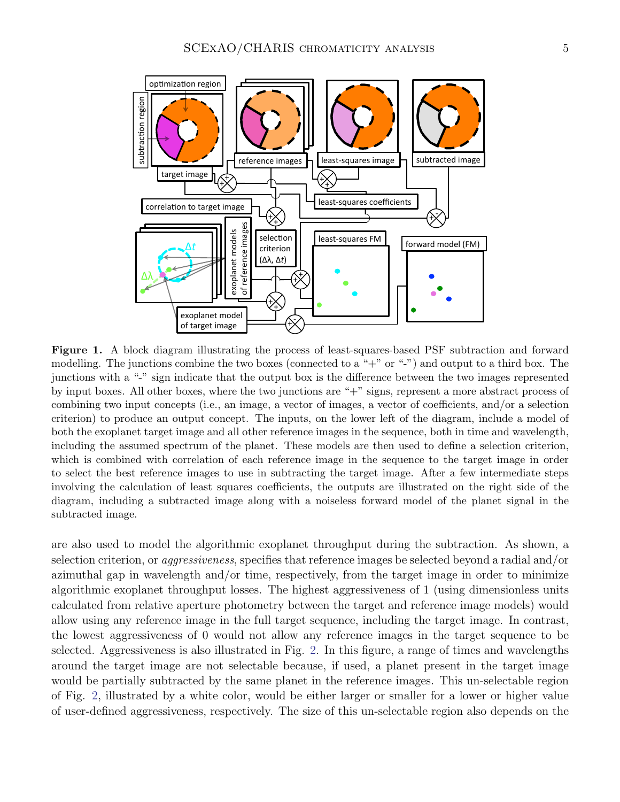

<span id="page-4-0"></span>Figure 1. A block diagram illustrating the process of least-squares-based PSF subtraction and forward modelling. The junctions combine the two boxes (connected to a "+" or "-") and output to a third box. The junctions with a "-" sign indicate that the output box is the difference between the two images represented by input boxes. All other boxes, where the two junctions are "+" signs, represent a more abstract process of combining two input concepts (i.e., an image, a vector of images, a vector of coefficients, and/or a selection criterion) to produce an output concept. The inputs, on the lower left of the diagram, include a model of both the exoplanet target image and all other reference images in the sequence, both in time and wavelength, including the assumed spectrum of the planet. These models are then used to define a selection criterion, which is combined with correlation of each reference image in the sequence to the target image in order to select the best reference images to use in subtracting the target image. After a few intermediate steps involving the calculation of least squares coefficients, the outputs are illustrated on the right side of the diagram, including a subtracted image along with a noiseless forward model of the planet signal in the subtracted image.

are also used to model the algorithmic exoplanet throughput during the subtraction. As shown, a selection criterion, or aggressiveness, specifies that reference images be selected beyond a radial and/or azimuthal gap in wavelength and/or time, respectively, from the target image in order to minimize algorithmic exoplanet throughput losses. The highest aggressiveness of 1 (using dimensionless units calculated from relative aperture photometry between the target and reference image models) would allow using any reference image in the full target sequence, including the target image. In contrast, the lowest aggressiveness of 0 would not allow any reference images in the target sequence to be selected. Aggressiveness is also illustrated in Fig. [2.](#page-5-0) In this figure, a range of times and wavelengths around the target image are not selectable because, if used, a planet present in the target image would be partially subtracted by the same planet in the reference images. This un-selectable region of Fig. [2,](#page-5-0) illustrated by a white color, would be either larger or smaller for a lower or higher value of user-defined aggressiveness, respectively. The size of this un-selectable region also depends on the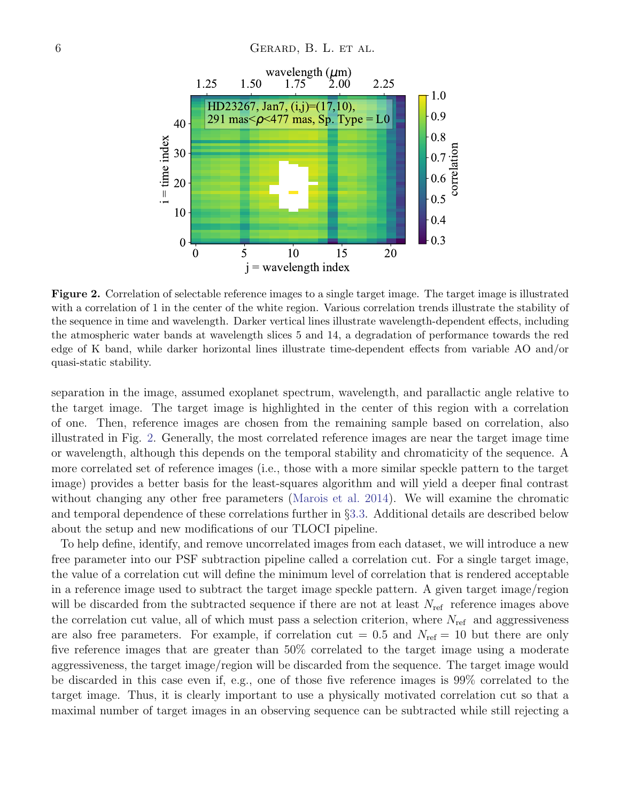

<span id="page-5-0"></span>Figure 2. Correlation of selectable reference images to a single target image. The target image is illustrated with a correlation of 1 in the center of the white region. Various correlation trends illustrate the stability of the sequence in time and wavelength. Darker vertical lines illustrate wavelength-dependent effects, including the atmospheric water bands at wavelength slices 5 and 14, a degradation of performance towards the red edge of K band, while darker horizontal lines illustrate time-dependent effects from variable AO and/or quasi-static stability.

separation in the image, assumed exoplanet spectrum, wavelength, and parallactic angle relative to the target image. The target image is highlighted in the center of this region with a correlation of one. Then, reference images are chosen from the remaining sample based on correlation, also illustrated in Fig. [2.](#page-5-0) Generally, the most correlated reference images are near the target image time or wavelength, although this depends on the temporal stability and chromaticity of the sequence. A more correlated set of reference images (i.e., those with a more similar speckle pattern to the target image) provides a better basis for the least-squares algorithm and will yield a deeper final contrast without changing any other free parameters [\(Marois et al.](#page-19-13) [2014\)](#page-19-13). We will examine the chromatic and temporal dependence of these correlations further in §[3.3.](#page-8-0) Additional details are described below about the setup and new modifications of our TLOCI pipeline.

To help define, identify, and remove uncorrelated images from each dataset, we will introduce a new free parameter into our PSF subtraction pipeline called a correlation cut. For a single target image, the value of a correlation cut will define the minimum level of correlation that is rendered acceptable in a reference image used to subtract the target image speckle pattern. A given target image/region will be discarded from the subtracted sequence if there are not at least  $N_{\text{ref}}$  reference images above the correlation cut value, all of which must pass a selection criterion, where  $N_{\text{ref}}$  and aggressiveness are also free parameters. For example, if correlation cut = 0.5 and  $N_{\text{ref}} = 10$  but there are only five reference images that are greater than 50% correlated to the target image using a moderate aggressiveness, the target image/region will be discarded from the sequence. The target image would be discarded in this case even if, e.g., one of those five reference images is 99% correlated to the target image. Thus, it is clearly important to use a physically motivated correlation cut so that a maximal number of target images in an observing sequence can be subtracted while still rejecting a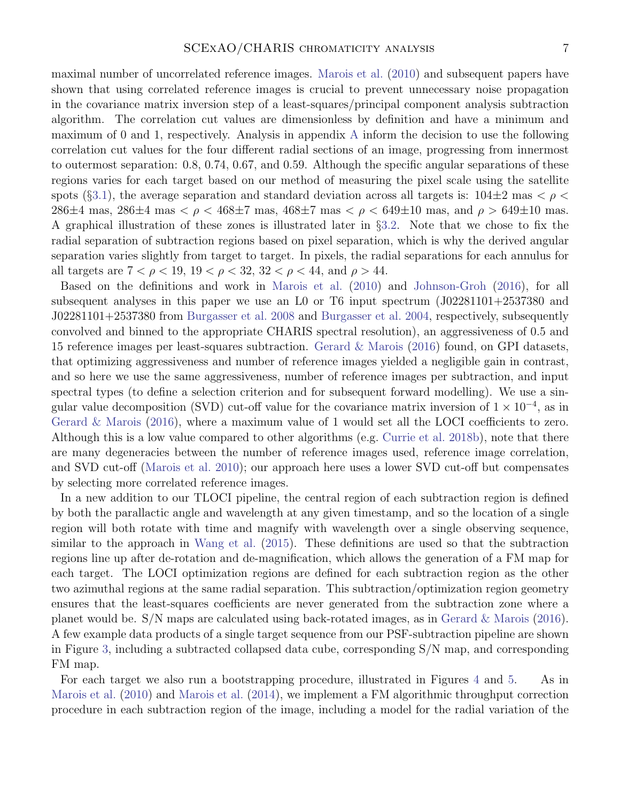maximal number of uncorrelated reference images. [Marois et al.](#page-19-11) [\(2010\)](#page-19-11) and subsequent papers have shown that using correlated reference images is crucial to prevent unnecessary noise propagation in the covariance matrix inversion step of a least-squares/principal component analysis subtraction algorithm. The correlation cut values are dimensionless by definition and have a minimum and maximum of 0 and 1, respectively. Analysis in appendix [A](#page-16-0) inform the decision to use the following correlation cut values for the four different radial sections of an image, progressing from innermost to outermost separation: 0.8, 0.74, 0.67, and 0.59. Although the specific angular separations of these regions varies for each target based on our method of measuring the pixel scale using the satellite spots (§[3.1\)](#page-3-2), the average separation and standard deviation across all targets is:  $104\pm2$  mas  $\lt\rho$ 286 $\pm$ 4 mas, 286 $\pm$ 4 mas  $\lt \rho \lt 468$  $\pm$ 7 mas, 468 $\pm$ 7 mas  $\lt \rho \lt 649$  $\pm$ 10 mas, and  $\rho > 649$  $\pm$ 10 mas. A graphical illustration of these zones is illustrated later in §[3.2.](#page-3-1) Note that we chose to fix the radial separation of subtraction regions based on pixel separation, which is why the derived angular separation varies slightly from target to target. In pixels, the radial separations for each annulus for all targets are  $7 < \rho < 19$ ,  $19 < \rho < 32$ ,  $32 < \rho < 44$ , and  $\rho > 44$ .

Based on the definitions and work in [Marois et al.](#page-19-11) [\(2010\)](#page-19-11) and [Johnson-Groh](#page-18-11) [\(2016\)](#page-18-11), for all subsequent analyses in this paper we use an L0 or T6 input spectrum (J02281101+2537380 and J02281101+2537380 from [Burgasser et al.](#page-18-12) [2008](#page-18-12) and [Burgasser et al.](#page-18-13) [2004,](#page-18-13) respectively, subsequently convolved and binned to the appropriate CHARIS spectral resolution), an aggressiveness of 0.5 and 15 reference images per least-squares subtraction. [Gerard & Marois](#page-18-14) [\(2016\)](#page-18-14) found, on GPI datasets, that optimizing aggressiveness and number of reference images yielded a negligible gain in contrast, and so here we use the same aggressiveness, number of reference images per subtraction, and input spectral types (to define a selection criterion and for subsequent forward modelling). We use a singular value decomposition (SVD) cut-off value for the covariance matrix inversion of  $1 \times 10^{-4}$ , as in [Gerard & Marois](#page-18-14) [\(2016\)](#page-18-14), where a maximum value of 1 would set all the LOCI coefficients to zero. Although this is a low value compared to other algorithms (e.g. [Currie et al.](#page-18-15) [2018b\)](#page-18-15), note that there are many degeneracies between the number of reference images used, reference image correlation, and SVD cut-off [\(Marois et al.](#page-19-11) [2010\)](#page-19-11); our approach here uses a lower SVD cut-off but compensates by selecting more correlated reference images.

In a new addition to our TLOCI pipeline, the central region of each subtraction region is defined by both the parallactic angle and wavelength at any given timestamp, and so the location of a single region will both rotate with time and magnify with wavelength over a single observing sequence, similar to the approach in [Wang et al.](#page-19-12) [\(2015\)](#page-19-12). These definitions are used so that the subtraction regions line up after de-rotation and de-magnification, which allows the generation of a FM map for each target. The LOCI optimization regions are defined for each subtraction region as the other two azimuthal regions at the same radial separation. This subtraction/optimization region geometry ensures that the least-squares coefficients are never generated from the subtraction zone where a planet would be. S/N maps are calculated using back-rotated images, as in [Gerard & Marois](#page-18-14) [\(2016\)](#page-18-14). A few example data products of a single target sequence from our PSF-subtraction pipeline are shown in Figure [3,](#page-7-0) including a subtracted collapsed data cube, corresponding S/N map, and corresponding FM map.

For each target we also run a bootstrapping procedure, illustrated in Figures [4](#page-7-1) and [5.](#page-8-1) As in [Marois et al.](#page-19-11) [\(2010\)](#page-19-11) and [Marois et al.](#page-19-13) [\(2014\)](#page-19-13), we implement a FM algorithmic throughput correction procedure in each subtraction region of the image, including a model for the radial variation of the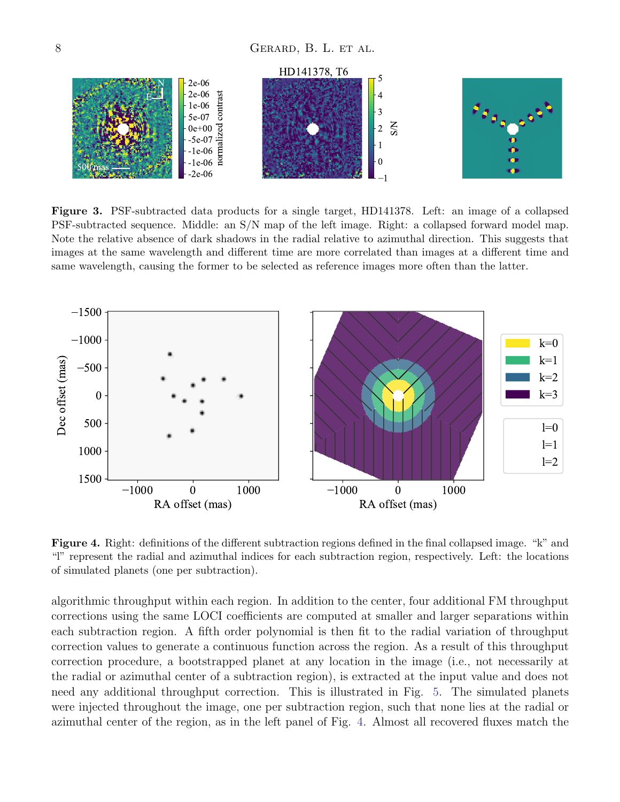

<span id="page-7-0"></span>Figure 3. PSF-subtracted data products for a single target, HD141378. Left: an image of a collapsed PSF-subtracted sequence. Middle: an S/N map of the left image. Right: a collapsed forward model map. Note the relative absence of dark shadows in the radial relative to azimuthal direction. This suggests that images at the same wavelength and different time are more correlated than images at a different time and same wavelength, causing the former to be selected as reference images more often than the latter.



<span id="page-7-1"></span>Figure 4. Right: definitions of the different subtraction regions defined in the final collapsed image. "k" and "l" represent the radial and azimuthal indices for each subtraction region, respectively. Left: the locations of simulated planets (one per subtraction).

algorithmic throughput within each region. In addition to the center, four additional FM throughput corrections using the same LOCI coefficients are computed at smaller and larger separations within each subtraction region. A fifth order polynomial is then fit to the radial variation of throughput correction values to generate a continuous function across the region. As a result of this throughput correction procedure, a bootstrapped planet at any location in the image (i.e., not necessarily at the radial or azimuthal center of a subtraction region), is extracted at the input value and does not need any additional throughput correction. This is illustrated in Fig. [5.](#page-8-1) The simulated planets were injected throughout the image, one per subtraction region, such that none lies at the radial or azimuthal center of the region, as in the left panel of Fig. [4.](#page-7-1) Almost all recovered fluxes match the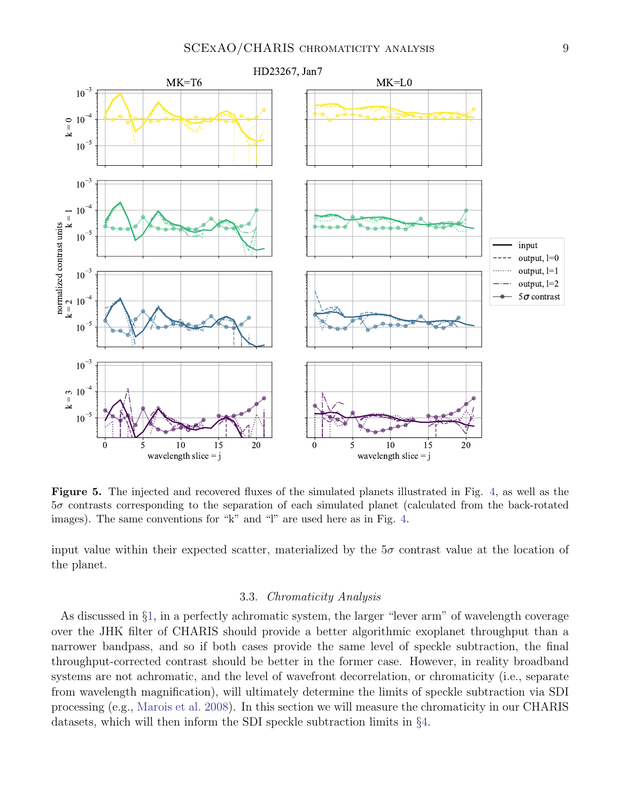

<span id="page-8-1"></span>Figure 5. The injected and recovered fluxes of the simulated planets illustrated in Fig. [4,](#page-7-1) as well as the 5σ contrasts corresponding to the separation of each simulated planet (calculated from the back-rotated images). The same conventions for "k" and "l" are used here as in Fig. [4.](#page-7-1)

input value within their expected scatter, materialized by the  $5\sigma$  contrast value at the location of the planet.

#### 3.3. Chromaticity Analysis

<span id="page-8-0"></span>As discussed in §[1,](#page-1-0) in a perfectly achromatic system, the larger "lever arm" of wavelength coverage over the JHK filter of CHARIS should provide a better algorithmic exoplanet throughput than a narrower bandpass, and so if both cases provide the same level of speckle subtraction, the final throughput-corrected contrast should be better in the former case. However, in reality broadband systems are not achromatic, and the level of wavefront decorrelation, or chromaticity (i.e., separate from wavelength magnification), will ultimately determine the limits of speckle subtraction via SDI processing (e.g., [Marois et al.](#page-19-8) [2008\)](#page-19-8). In this section we will measure the chromaticity in our CHARIS datasets, which will then inform the SDI speckle subtraction limits in §[4.](#page-12-0)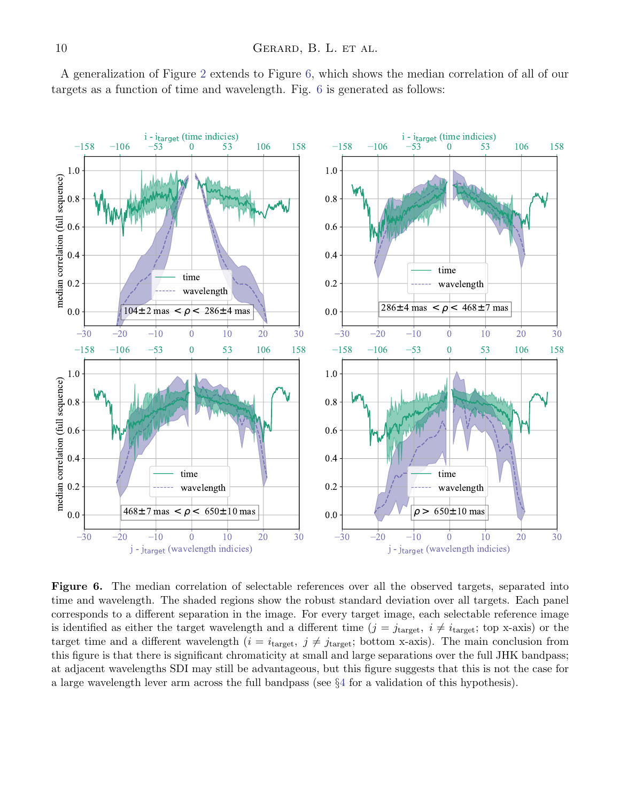

0.8

1.0

A generalization of Figure [2](#page-5-0) extends to Figure [6,](#page-9-0) which shows the median correlation of all of our targets as a function of time and wavelength. Fig. [6](#page-9-0) is generated as follows:



<span id="page-9-0"></span>Figure 6. The median correlation of selectable references over all the observed targets, separated into time and wavelength. The shaded regions show the robust standard deviation over all targets. Each panel corresponds to a different separation in the image. For every target image, each selectable reference image is identified as either the target wavelength and a different time  $(j = j<sub>target</sub>, i \neq i<sub>target</sub>; top x-axis)$  or the target time and a different wavelength  $(i = i<sub>target</sub>, j \neq j<sub>target</sub>; bottom x-axis)$ . The main conclusion from this figure is that there is significant chromaticity at small and large separations over the full JHK bandpass; at adjacent wavelengths SDI may still be advantageous, but this figure suggests that this is not the case for a large wavelength lever arm across the full bandpass (see §[4](#page-12-0) for a validation of this hypothesis).

0.8

1.0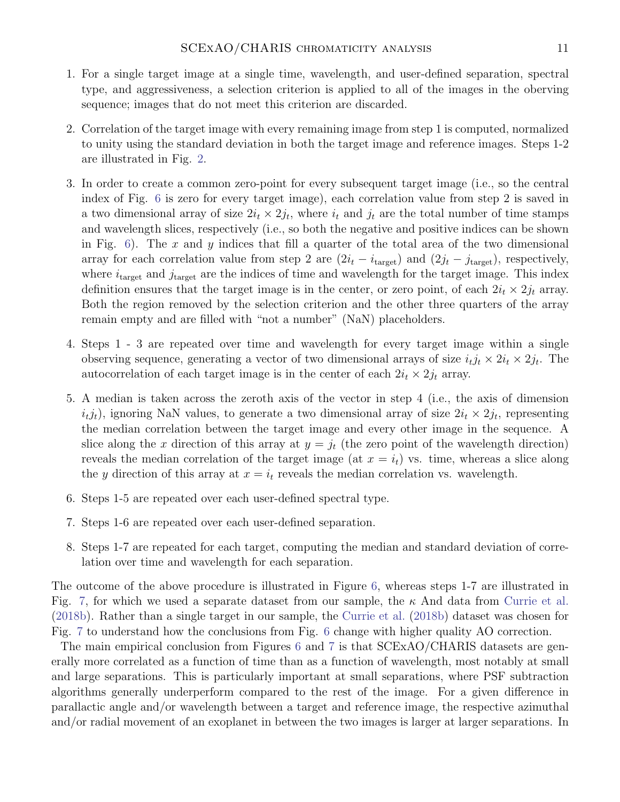- 1. For a single target image at a single time, wavelength, and user-defined separation, spectral type, and aggressiveness, a selection criterion is applied to all of the images in the oberving sequence; images that do not meet this criterion are discarded.
- 2. Correlation of the target image with every remaining image from step 1 is computed, normalized to unity using the standard deviation in both the target image and reference images. Steps 1-2 are illustrated in Fig. [2.](#page-5-0)
- 3. In order to create a common zero-point for every subsequent target image (i.e., so the central index of Fig. [6](#page-9-0) is zero for every target image), each correlation value from step 2 is saved in a two dimensional array of size  $2i_t \times 2j_t$ , where  $i_t$  and  $j_t$  are the total number of time stamps and wavelength slices, respectively (i.e., so both the negative and positive indices can be shown in Fig.  $6$ ). The x and y indices that fill a quarter of the total area of the two dimensional array for each correlation value from step 2 are  $(2i_t - i_{\text{target}})$  and  $(2j_t - j_{\text{target}})$ , respectively, where  $i_{\text{target}}$  and  $j_{\text{target}}$  are the indices of time and wavelength for the target image. This index definition ensures that the target image is in the center, or zero point, of each  $2i_t \times 2j_t$  array. Both the region removed by the selection criterion and the other three quarters of the array remain empty and are filled with "not a number" (NaN) placeholders.
- 4. Steps 1 3 are repeated over time and wavelength for every target image within a single observing sequence, generating a vector of two dimensional arrays of size  $i_t j_t \times 2i_t \times 2j_t$ . The autocorrelation of each target image is in the center of each  $2i_t \times 2j_t$  array.
- 5. A median is taken across the zeroth axis of the vector in step 4 (i.e., the axis of dimension  $i_t j_t$ , ignoring NaN values, to generate a two dimensional array of size  $2i_t \times 2j_t$ , representing the median correlation between the target image and every other image in the sequence. A slice along the x direction of this array at  $y = j_t$  (the zero point of the wavelength direction) reveals the median correlation of the target image (at  $x = i_t$ ) vs. time, whereas a slice along the y direction of this array at  $x = i_t$  reveals the median correlation vs. wavelength.
- 6. Steps 1-5 are repeated over each user-defined spectral type.
- 7. Steps 1-6 are repeated over each user-defined separation.
- 8. Steps 1-7 are repeated for each target, computing the median and standard deviation of correlation over time and wavelength for each separation.

The outcome of the above procedure is illustrated in Figure [6,](#page-9-0) whereas steps 1-7 are illustrated in Fig. [7,](#page-11-0) for which we used a separate dataset from our sample, the  $\kappa$  And data from [Currie et al.](#page-18-15) [\(2018b\)](#page-18-15). Rather than a single target in our sample, the [Currie et al.](#page-18-15) [\(2018b\)](#page-18-15) dataset was chosen for Fig. [7](#page-11-0) to understand how the conclusions from Fig. [6](#page-9-0) change with higher quality AO correction.

The main empirical conclusion from Figures [6](#page-9-0) and [7](#page-11-0) is that SCExAO/CHARIS datasets are generally more correlated as a function of time than as a function of wavelength, most notably at small and large separations. This is particularly important at small separations, where PSF subtraction algorithms generally underperform compared to the rest of the image. For a given difference in parallactic angle and/or wavelength between a target and reference image, the respective azimuthal and/or radial movement of an exoplanet in between the two images is larger at larger separations. In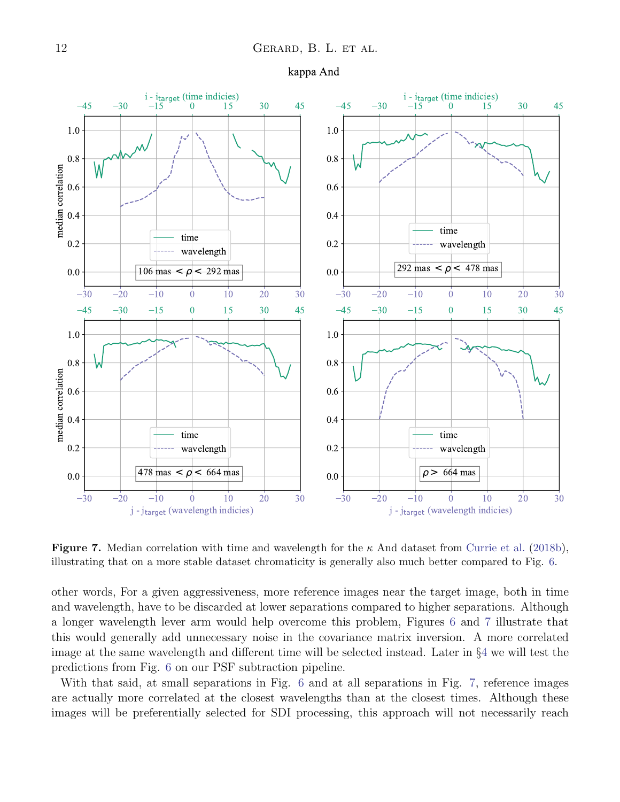





<span id="page-11-0"></span>**Figure 7.** Median correlation with time and wavelength for the  $\kappa$  And dataset from [Currie et al.](#page-18-15) [\(2018b\)](#page-18-15), illustrating that on a more stable dataset chromaticity is generally also much better compared to Fig. [6.](#page-9-0)

other words, For a given aggressiveness, more reference images near the target image, both in time and wavelength, have to be discarded at lower separations compared to higher separations. Although a longer wavelength lever arm would help overcome this problem, Figures [6](#page-9-0) and [7](#page-11-0) illustrate that this would generally add unnecessary noise in the covariance matrix inversion. A more correlated image at the same wavelength and different time will be selected instead. Later in §[4](#page-12-0) we will test the predictions from Fig. [6](#page-9-0) on our PSF subtraction pipeline.

With that said, at small separations in Fig. [6](#page-9-0) and at all separations in Fig. [7,](#page-11-0) reference images are actually more correlated at the closest wavelengths than at the closest times. Although these images will be preferentially selected for SDI processing, this approach will not necessarily reach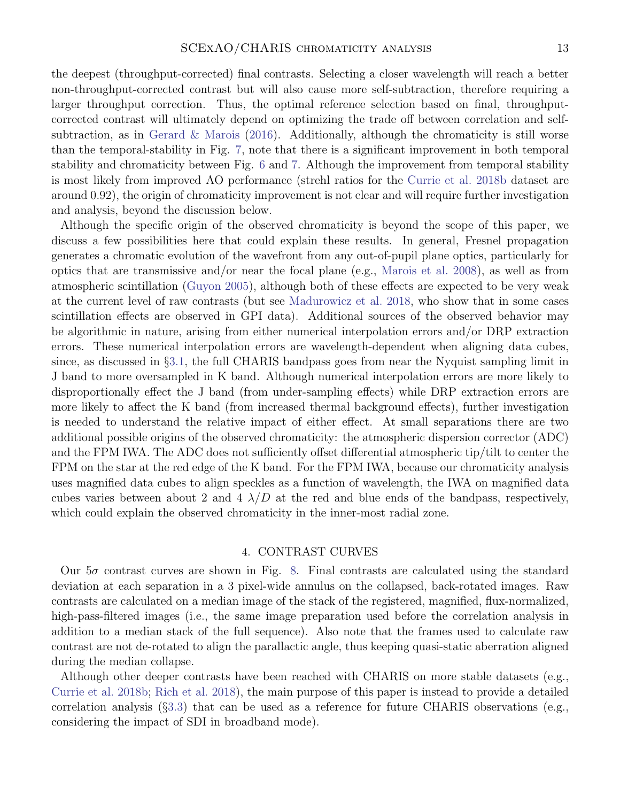the deepest (throughput-corrected) final contrasts. Selecting a closer wavelength will reach a better non-throughput-corrected contrast but will also cause more self-subtraction, therefore requiring a larger throughput correction. Thus, the optimal reference selection based on final, throughputcorrected contrast will ultimately depend on optimizing the trade off between correlation and self-subtraction, as in [Gerard & Marois](#page-18-14)  $(2016)$ . Additionally, although the chromaticity is still worse than the temporal-stability in Fig. [7,](#page-11-0) note that there is a significant improvement in both temporal stability and chromaticity between Fig. [6](#page-9-0) and [7.](#page-11-0) Although the improvement from temporal stability is most likely from improved AO performance (strehl ratios for the [Currie et al.](#page-18-15) [2018b](#page-18-15) dataset are around 0.92), the origin of chromaticity improvement is not clear and will require further investigation and analysis, beyond the discussion below.

Although the specific origin of the observed chromaticity is beyond the scope of this paper, we discuss a few possibilities here that could explain these results. In general, Fresnel propagation generates a chromatic evolution of the wavefront from any out-of-pupil plane optics, particularly for optics that are transmissive and/or near the focal plane (e.g., [Marois et al.](#page-19-8) [2008\)](#page-19-8), as well as from atmospheric scintillation [\(Guyon](#page-18-16) [2005\)](#page-18-16), although both of these effects are expected to be very weak at the current level of raw contrasts (but see [Madurowicz et al.](#page-19-20) [2018,](#page-19-20) who show that in some cases scintillation effects are observed in GPI data). Additional sources of the observed behavior may be algorithmic in nature, arising from either numerical interpolation errors and/or DRP extraction errors. These numerical interpolation errors are wavelength-dependent when aligning data cubes, since, as discussed in §[3.1,](#page-3-2) the full CHARIS bandpass goes from near the Nyquist sampling limit in J band to more oversampled in K band. Although numerical interpolation errors are more likely to disproportionally effect the J band (from under-sampling effects) while DRP extraction errors are more likely to affect the K band (from increased thermal background effects), further investigation is needed to understand the relative impact of either effect. At small separations there are two additional possible origins of the observed chromaticity: the atmospheric dispersion corrector (ADC) and the FPM IWA. The ADC does not sufficiently offset differential atmospheric tip/tilt to center the FPM on the star at the red edge of the K band. For the FPM IWA, because our chromaticity analysis uses magnified data cubes to align speckles as a function of wavelength, the IWA on magnified data cubes varies between about 2 and 4  $\lambda/D$  at the red and blue ends of the bandpass, respectively, which could explain the observed chromaticity in the inner-most radial zone.

# 4. CONTRAST CURVES

<span id="page-12-0"></span>Our  $5\sigma$  contrast curves are shown in Fig. [8.](#page-13-0) Final contrasts are calculated using the standard deviation at each separation in a 3 pixel-wide annulus on the collapsed, back-rotated images. Raw contrasts are calculated on a median image of the stack of the registered, magnified, flux-normalized, high-pass-filtered images (i.e., the same image preparation used before the correlation analysis in addition to a median stack of the full sequence). Also note that the frames used to calculate raw contrast are not de-rotated to align the parallactic angle, thus keeping quasi-static aberration aligned during the median collapse.

Although other deeper contrasts have been reached with CHARIS on more stable datasets (e.g., [Currie et al.](#page-18-15) [2018b;](#page-18-15) [Rich et al.](#page-19-21) [2018\)](#page-19-21), the main purpose of this paper is instead to provide a detailed correlation analysis (§[3.3\)](#page-8-0) that can be used as a reference for future CHARIS observations (e.g., considering the impact of SDI in broadband mode).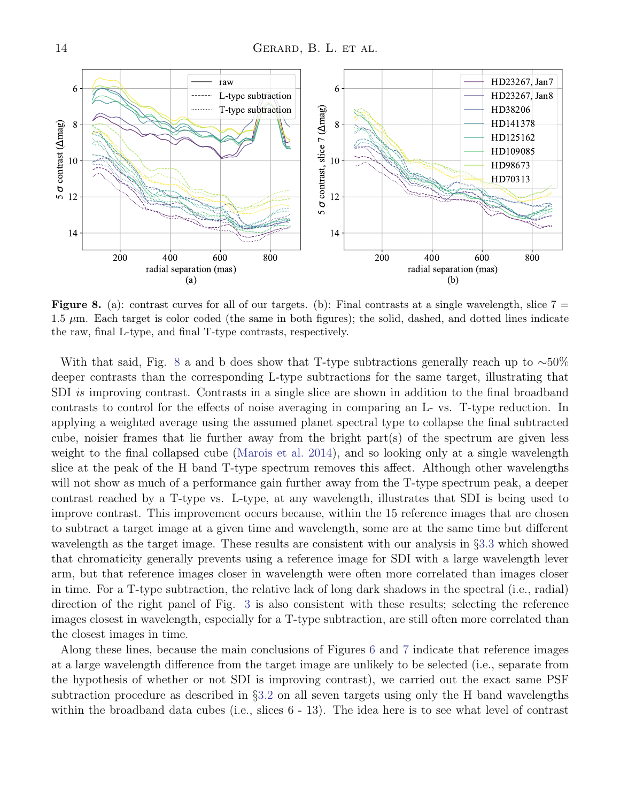

<span id="page-13-0"></span>**Figure 8.** (a): contrast curves for all of our targets. (b): Final contrasts at a single wavelength, slice  $7 =$  $1.5 \mu$ m. Each target is color coded (the same in both figures); the solid, dashed, and dotted lines indicate the raw, final L-type, and final T-type contrasts, respectively.

With that said, Fig. [8](#page-13-0) a and b does show that T-type subtractions generally reach up to  $~\sim 50\%$ deeper contrasts than the corresponding L-type subtractions for the same target, illustrating that SDI is improving contrast. Contrasts in a single slice are shown in addition to the final broadband contrasts to control for the effects of noise averaging in comparing an L- vs. T-type reduction. In applying a weighted average using the assumed planet spectral type to collapse the final subtracted cube, noisier frames that lie further away from the bright part(s) of the spectrum are given less weight to the final collapsed cube [\(Marois et al.](#page-19-13) [2014\)](#page-19-13), and so looking only at a single wavelength slice at the peak of the H band T-type spectrum removes this affect. Although other wavelengths will not show as much of a performance gain further away from the T-type spectrum peak, a deeper contrast reached by a T-type vs. L-type, at any wavelength, illustrates that SDI is being used to improve contrast. This improvement occurs because, within the 15 reference images that are chosen to subtract a target image at a given time and wavelength, some are at the same time but different wavelength as the target image. These results are consistent with our analysis in §[3.3](#page-8-0) which showed that chromaticity generally prevents using a reference image for SDI with a large wavelength lever arm, but that reference images closer in wavelength were often more correlated than images closer in time. For a T-type subtraction, the relative lack of long dark shadows in the spectral (i.e., radial) direction of the right panel of Fig. [3](#page-7-0) is also consistent with these results; selecting the reference images closest in wavelength, especially for a T-type subtraction, are still often more correlated than the closest images in time.

Along these lines, because the main conclusions of Figures [6](#page-9-0) and [7](#page-11-0) indicate that reference images at a large wavelength difference from the target image are unlikely to be selected (i.e., separate from the hypothesis of whether or not SDI is improving contrast), we carried out the exact same PSF subtraction procedure as described in §[3.2](#page-3-1) on all seven targets using only the H band wavelengths within the broadband data cubes (i.e., slices  $6 - 13$ ). The idea here is to see what level of contrast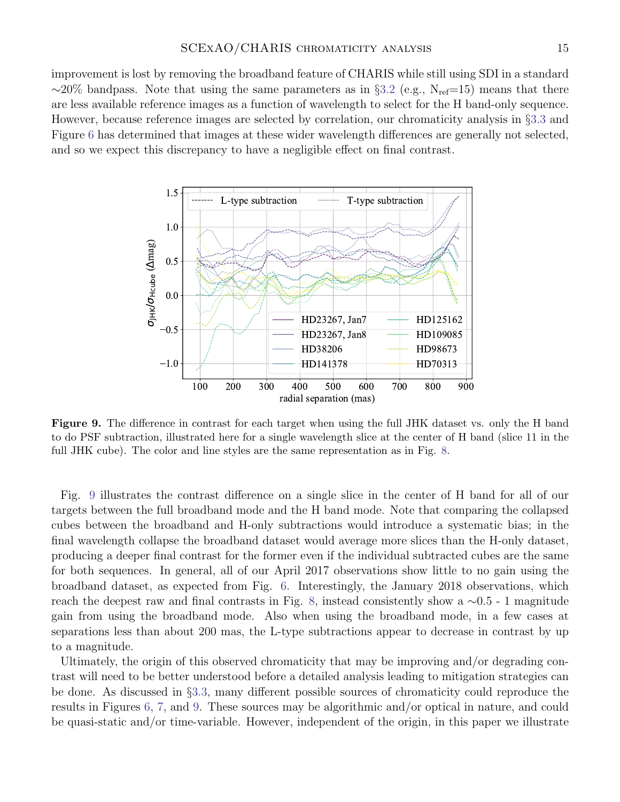improvement is lost by removing the broadband feature of CHARIS while still using SDI in a standard  $\sim$ 20% bandpass. Note that using the same parameters as in §[3.2](#page-3-1) (e.g., N<sub>ref</sub>=15) means that there are less available reference images as a function of wavelength to select for the H band-only sequence. However, because reference images are selected by correlation, our chromaticity analysis in §[3.3](#page-8-0) and Figure [6](#page-9-0) has determined that images at these wider wavelength differences are generally not selected, and so we expect this discrepancy to have a negligible effect on final contrast.



<span id="page-14-0"></span>Figure 9. The difference in contrast for each target when using the full JHK dataset vs. only the H band to do PSF subtraction, illustrated here for a single wavelength slice at the center of H band (slice 11 in the full JHK cube). The color and line styles are the same representation as in Fig. [8.](#page-13-0)

Fig. [9](#page-14-0) illustrates the contrast difference on a single slice in the center of H band for all of our targets between the full broadband mode and the H band mode. Note that comparing the collapsed cubes between the broadband and H-only subtractions would introduce a systematic bias; in the final wavelength collapse the broadband dataset would average more slices than the H-only dataset, producing a deeper final contrast for the former even if the individual subtracted cubes are the same for both sequences. In general, all of our April 2017 observations show little to no gain using the broadband dataset, as expected from Fig. [6.](#page-9-0) Interestingly, the January 2018 observations, which reach the deepest raw and final contrasts in Fig. [8,](#page-13-0) instead consistently show a ∼0.5 - 1 magnitude gain from using the broadband mode. Also when using the broadband mode, in a few cases at separations less than about 200 mas, the L-type subtractions appear to decrease in contrast by up to a magnitude.

Ultimately, the origin of this observed chromaticity that may be improving and/or degrading contrast will need to be better understood before a detailed analysis leading to mitigation strategies can be done. As discussed in §[3.3,](#page-8-0) many different possible sources of chromaticity could reproduce the results in Figures [6,](#page-9-0) [7,](#page-11-0) and [9.](#page-14-0) These sources may be algorithmic and/or optical in nature, and could be quasi-static and/or time-variable. However, independent of the origin, in this paper we illustrate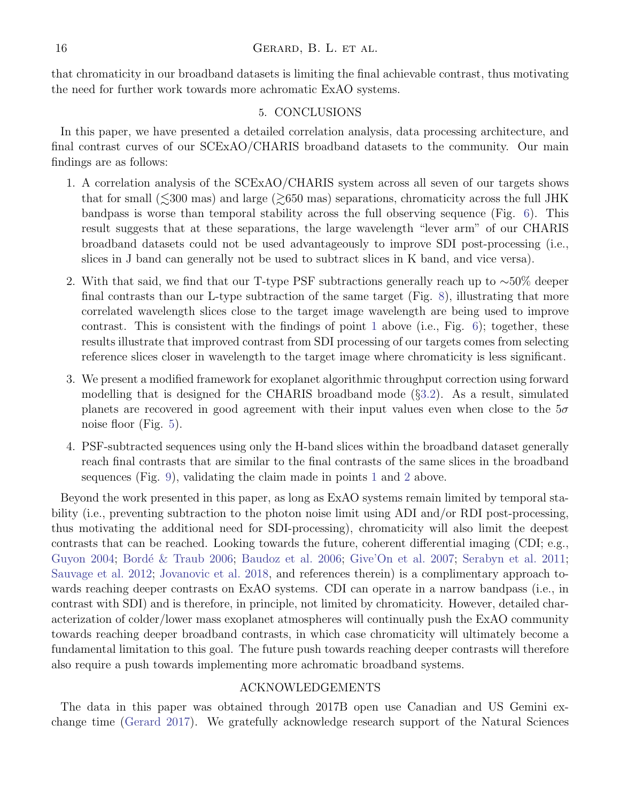that chromaticity in our broadband datasets is limiting the final achievable contrast, thus motivating the need for further work towards more achromatic ExAO systems.

## 5. CONCLUSIONS

<span id="page-15-0"></span>In this paper, we have presented a detailed correlation analysis, data processing architecture, and final contrast curves of our SCExAO/CHARIS broadband datasets to the community. Our main findings are as follows:

- <span id="page-15-1"></span>1. A correlation analysis of the SCExAO/CHARIS system across all seven of our targets shows that for small ( $\leq 300$  mas) and large ( $\geq 650$  mas) separations, chromaticity across the full JHK bandpass is worse than temporal stability across the full observing sequence (Fig. [6\)](#page-9-0). This result suggests that at these separations, the large wavelength "lever arm" of our CHARIS broadband datasets could not be used advantageously to improve SDI post-processing (i.e., slices in J band can generally not be used to subtract slices in K band, and vice versa).
- <span id="page-15-2"></span>2. With that said, we find that our T-type PSF subtractions generally reach up to  $\sim$ 50% deeper final contrasts than our L-type subtraction of the same target (Fig. [8\)](#page-13-0), illustrating that more correlated wavelength slices close to the target image wavelength are being used to improve contrast. This is consistent with the findings of point [1](#page-15-1) above (i.e., Fig.  $6$ ); together, these results illustrate that improved contrast from SDI processing of our targets comes from selecting reference slices closer in wavelength to the target image where chromaticity is less significant.
- 3. We present a modified framework for exoplanet algorithmic throughput correction using forward modelling that is designed for the CHARIS broadband mode (§[3.2\)](#page-3-1). As a result, simulated planets are recovered in good agreement with their input values even when close to the  $5\sigma$ noise floor (Fig. [5\)](#page-8-1).
- 4. PSF-subtracted sequences using only the H-band slices within the broadband dataset generally reach final contrasts that are similar to the final contrasts of the same slices in the broadband sequences (Fig. [9\)](#page-14-0), validating the claim made in points [1](#page-15-1) and [2](#page-15-2) above.

Beyond the work presented in this paper, as long as ExAO systems remain limited by temporal stability (i.e., preventing subtraction to the photon noise limit using ADI and/or RDI post-processing, thus motivating the additional need for SDI-processing), chromaticity will also limit the deepest contrasts that can be reached. Looking towards the future, coherent differential imaging (CDI; e.g., [Guyon](#page-18-17) [2004;](#page-18-17) Bordé & Traub [2006;](#page-18-19) [Baudoz et al.](#page-18-19) 2006; [Give'On et al.](#page-18-20) [2007;](#page-18-20) [Serabyn et al.](#page-19-22) [2011;](#page-19-22) [Sauvage et al.](#page-19-23) [2012;](#page-19-23) [Jovanovic et al.](#page-19-24) [2018,](#page-19-24) and references therein) is a complimentary approach towards reaching deeper contrasts on ExAO systems. CDI can operate in a narrow bandpass (i.e., in contrast with SDI) and is therefore, in principle, not limited by chromaticity. However, detailed characterization of colder/lower mass exoplanet atmospheres will continually push the ExAO community towards reaching deeper broadband contrasts, in which case chromaticity will ultimately become a fundamental limitation to this goal. The future push towards reaching deeper contrasts will therefore also require a push towards implementing more achromatic broadband systems.

## ACKNOWLEDGEMENTS

The data in this paper was obtained through 2017B open use Canadian and US Gemini exchange time [\(Gerard](#page-18-21) [2017\)](#page-18-21). We gratefully acknowledge research support of the Natural Sciences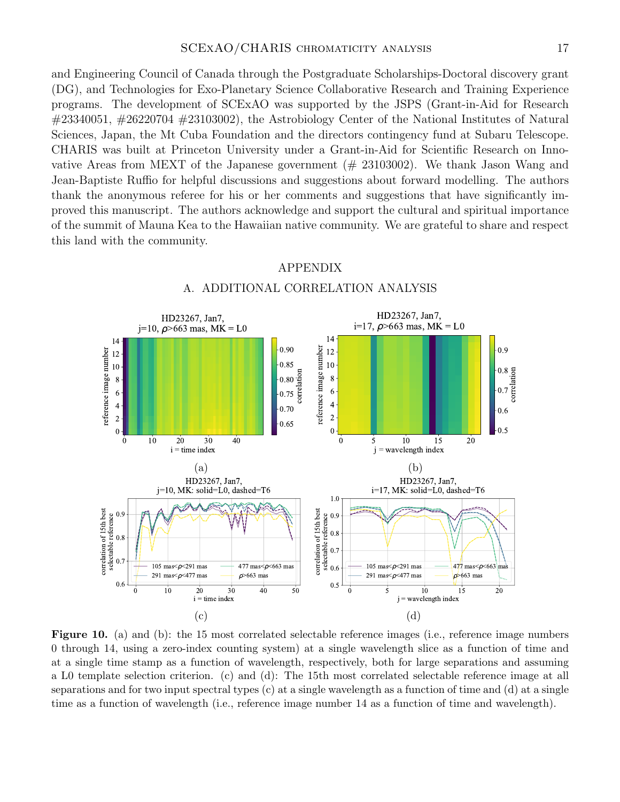and Engineering Council of Canada through the Postgraduate Scholarships-Doctoral discovery grant (DG), and Technologies for Exo-Planetary Science Collaborative Research and Training Experience programs. The development of SCExAO was supported by the JSPS (Grant-in-Aid for Research  $\#23340051, \#26220704 \#23103002$ , the Astrobiology Center of the National Institutes of Natural Sciences, Japan, the Mt Cuba Foundation and the directors contingency fund at Subaru Telescope. CHARIS was built at Princeton University under a Grant-in-Aid for Scientific Research on Innovative Areas from MEXT of the Japanese government  $(\# 23103002)$ . We thank Jason Wang and Jean-Baptiste Ruffio for helpful discussions and suggestions about forward modelling. The authors thank the anonymous referee for his or her comments and suggestions that have significantly improved this manuscript. The authors acknowledge and support the cultural and spiritual importance of the summit of Mauna Kea to the Hawaiian native community. We are grateful to share and respect this land with the community.

<span id="page-16-0"></span>

# APPENDIX A. ADDITIONAL CORRELATION ANALYSIS

<span id="page-16-1"></span>Figure 10. (a) and (b): the 15 most correlated selectable reference images (i.e., reference image numbers 0 through 14, using a zero-index counting system) at a single wavelength slice as a function of time and at a single time stamp as a function of wavelength, respectively, both for large separations and assuming a L0 template selection criterion. (c) and (d): The 15th most correlated selectable reference image at all separations and for two input spectral types (c) at a single wavelength as a function of time and (d) at a single time as a function of wavelength (i.e., reference image number 14 as a function of time and wavelength).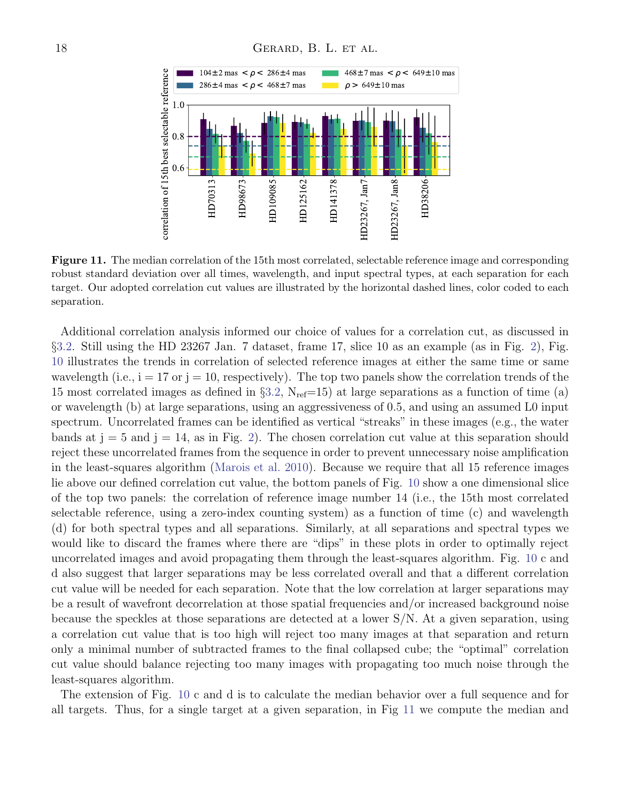

<span id="page-17-0"></span>Figure 11. The median correlation of the 15th most correlated, selectable reference image and corresponding robust standard deviation over all times, wavelength, and input spectral types, at each separation for each target. Our adopted correlation cut values are illustrated by the horizontal dashed lines, color coded to each separation.

Additional correlation analysis informed our choice of values for a correlation cut, as discussed in §[3.2.](#page-3-1) Still using the HD 23267 Jan. 7 dataset, frame 17, slice 10 as an example (as in Fig. [2\)](#page-5-0), Fig. [10](#page-16-1) illustrates the trends in correlation of selected reference images at either the same time or same wavelength (i.e.,  $i = 17$  or  $j = 10$ , respectively). The top two panels show the correlation trends of the 15 most correlated images as defined in  $\S 3.2$ ,  $N_{ref}=15$ ) at large separations as a function of time (a) or wavelength (b) at large separations, using an aggressiveness of 0.5, and using an assumed L0 input spectrum. Uncorrelated frames can be identified as vertical "streaks" in these images (e.g., the water bands at  $j = 5$  and  $j = 14$ , as in Fig. [2\)](#page-5-0). The chosen correlation cut value at this separation should reject these uncorrelated frames from the sequence in order to prevent unnecessary noise amplification in the least-squares algorithm [\(Marois et al.](#page-19-11) [2010\)](#page-19-11). Because we require that all 15 reference images lie above our defined correlation cut value, the bottom panels of Fig. [10](#page-16-1) show a one dimensional slice of the top two panels: the correlation of reference image number 14 (i.e., the 15th most correlated selectable reference, using a zero-index counting system) as a function of time (c) and wavelength (d) for both spectral types and all separations. Similarly, at all separations and spectral types we would like to discard the frames where there are "dips" in these plots in order to optimally reject uncorrelated images and avoid propagating them through the least-squares algorithm. Fig. [10](#page-16-1) c and d also suggest that larger separations may be less correlated overall and that a different correlation cut value will be needed for each separation. Note that the low correlation at larger separations may be a result of wavefront decorrelation at those spatial frequencies and/or increased background noise because the speckles at those separations are detected at a lower S/N. At a given separation, using a correlation cut value that is too high will reject too many images at that separation and return only a minimal number of subtracted frames to the final collapsed cube; the "optimal" correlation cut value should balance rejecting too many images with propagating too much noise through the least-squares algorithm.

The extension of Fig. [10](#page-16-1) c and d is to calculate the median behavior over a full sequence and for all targets. Thus, for a single target at a given separation, in Fig [11](#page-17-0) we compute the median and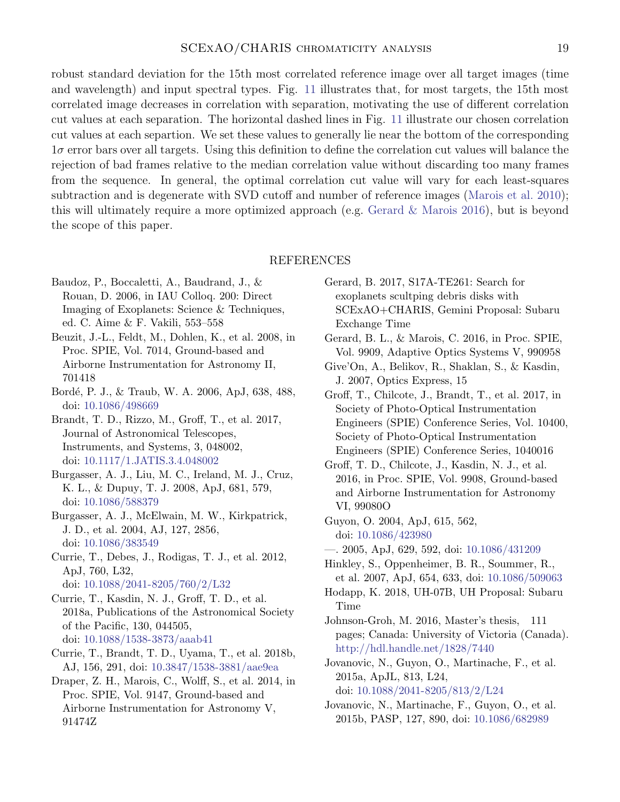robust standard deviation for the 15th most correlated reference image over all target images (time and wavelength) and input spectral types. Fig. [11](#page-17-0) illustrates that, for most targets, the 15th most correlated image decreases in correlation with separation, motivating the use of different correlation cut values at each separation. The horizontal dashed lines in Fig. [11](#page-17-0) illustrate our chosen correlation cut values at each separtion. We set these values to generally lie near the bottom of the corresponding  $1\sigma$  error bars over all targets. Using this definition to define the correlation cut values will balance the rejection of bad frames relative to the median correlation value without discarding too many frames from the sequence. In general, the optimal correlation cut value will vary for each least-squares subtraction and is degenerate with SVD cutoff and number of reference images [\(Marois et al.](#page-19-11) [2010\)](#page-19-11); this will ultimately require a more optimized approach (e.g. [Gerard & Marois](#page-18-14) [2016\)](#page-18-14), but is beyond the scope of this paper.

#### REFERENCES

- <span id="page-18-19"></span>Baudoz, P., Boccaletti, A., Baudrand, J., & Rouan, D. 2006, in IAU Colloq. 200: Direct Imaging of Exoplanets: Science & Techniques, ed. C. Aime & F. Vakili, 553–558
- <span id="page-18-5"></span>Beuzit, J.-L., Feldt, M., Dohlen, K., et al. 2008, in Proc. SPIE, Vol. 7014, Ground-based and Airborne Instrumentation for Astronomy II, 701418
- <span id="page-18-18"></span>Bord´e, P. J., & Traub, W. A. 2006, ApJ, 638, 488, doi: [10.1086/498669](http://doi.org/10.1086/498669)
- <span id="page-18-9"></span>Brandt, T. D., Rizzo, M., Groff, T., et al. 2017, Journal of Astronomical Telescopes, Instruments, and Systems, 3, 048002, doi: [10.1117/1.JATIS.3.4.048002](http://doi.org/10.1117/1.JATIS.3.4.048002)
- <span id="page-18-12"></span>Burgasser, A. J., Liu, M. C., Ireland, M. J., Cruz, K. L., & Dupuy, T. J. 2008, ApJ, 681, 579, doi: [10.1086/588379](http://doi.org/10.1086/588379)
- <span id="page-18-13"></span>Burgasser, A. J., McElwain, M. W., Kirkpatrick, J. D., et al. 2004, AJ, 127, 2856, doi: [10.1086/383549](http://doi.org/10.1086/383549)
- <span id="page-18-1"></span>Currie, T., Debes, J., Rodigas, T. J., et al. 2012, ApJ, 760, L32, doi: [10.1088/2041-8205/760/2/L32](http://doi.org/10.1088/2041-8205/760/2/L32)
- <span id="page-18-8"></span>Currie, T., Kasdin, N. J., Groff, T. D., et al. 2018a, Publications of the Astronomical Society of the Pacific, 130, 044505, doi: [10.1088/1538-3873/aaab41](http://doi.org/10.1088/1538-3873/aaab41)
- <span id="page-18-15"></span>Currie, T., Brandt, T. D., Uyama, T., et al. 2018b, AJ, 156, 291, doi: [10.3847/1538-3881/aae9ea](http://doi.org/10.3847/1538-3881/aae9ea)
- <span id="page-18-10"></span>Draper, Z. H., Marois, C., Wolff, S., et al. 2014, in Proc. SPIE, Vol. 9147, Ground-based and Airborne Instrumentation for Astronomy V, 91474Z
- <span id="page-18-21"></span>Gerard, B. 2017, S17A-TE261: Search for exoplanets scultping debris disks with SCExAO+CHARIS, Gemini Proposal: Subaru Exchange Time
- <span id="page-18-14"></span>Gerard, B. L., & Marois, C. 2016, in Proc. SPIE, Vol. 9909, Adaptive Optics Systems V, 990958
- <span id="page-18-20"></span>Give'On, A., Belikov, R., Shaklan, S., & Kasdin, J. 2007, Optics Express, 15
- <span id="page-18-4"></span>Groff, T., Chilcote, J., Brandt, T., et al. 2017, in Society of Photo-Optical Instrumentation Engineers (SPIE) Conference Series, Vol. 10400, Society of Photo-Optical Instrumentation Engineers (SPIE) Conference Series, 1040016
- <span id="page-18-3"></span>Groff, T. D., Chilcote, J., Kasdin, N. J., et al. 2016, in Proc. SPIE, Vol. 9908, Ground-based and Airborne Instrumentation for Astronomy VI, 99080O
- <span id="page-18-17"></span>Guyon, O. 2004, ApJ, 615, 562, doi: [10.1086/423980](http://doi.org/10.1086/423980)
- <span id="page-18-16"></span>—. 2005, ApJ, 629, 592, doi: [10.1086/431209](http://doi.org/10.1086/431209)
- <span id="page-18-0"></span>Hinkley, S., Oppenheimer, B. R., Soummer, R., et al. 2007, ApJ, 654, 633, doi: [10.1086/509063](http://doi.org/10.1086/509063)
- <span id="page-18-6"></span>Hodapp, K. 2018, UH-07B, UH Proposal: Subaru Time
- <span id="page-18-11"></span>Johnson-Groh, M. 2016, Master's thesis, 111 pages; Canada: University of Victoria (Canada). <http://hdl.handle.net/1828/7440>
- <span id="page-18-7"></span>Jovanovic, N., Guyon, O., Martinache, F., et al. 2015a, ApJL, 813, L24, doi: [10.1088/2041-8205/813/2/L24](http://doi.org/10.1088/2041-8205/813/2/L24)
- <span id="page-18-2"></span>Jovanovic, N., Martinache, F., Guyon, O., et al. 2015b, PASP, 127, 890, doi: [10.1086/682989](http://doi.org/10.1086/682989)